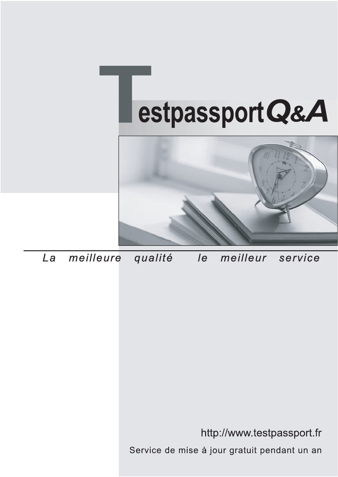



meilleure La qualité  $\overline{e}$ meilleur service

http://www.testpassport.fr

Service de mise à jour gratuit pendant un an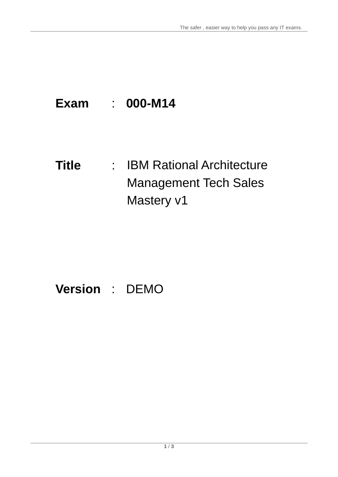# **Exam** : **000-M14**

# **Title** : IBM Rational Architecture Management Tech Sales Mastery v1

# **Version** : DEMO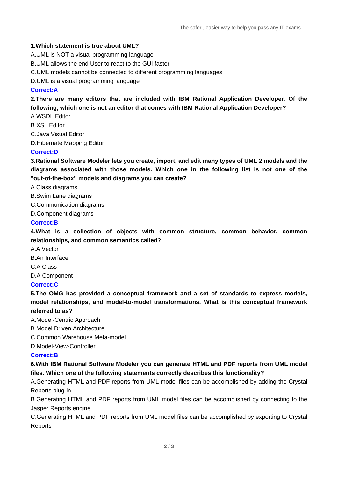#### **1.Which statement is true about UML?**

A.UML is NOT a visual programming language

B.UML allows the end User to react to the GUI faster

C.UML models cannot be connected to different programming languages

D.UML is a visual programming language

### **Correct:A**

**2.There are many editors that are included with IBM Rational Application Developer. Of the following, which one is not an editor that comes with IBM Rational Application Developer?**

A.WSDL Editor

B.XSL Editor

C.Java Visual Editor

D.Hibernate Mapping Editor

# **Correct:D**

**3.Rational Software Modeler lets you create, import, and edit many types of UML 2 models and the diagrams associated with those models. Which one in the following list is not one of the "out-of-the-box" models and diagrams you can create?**

A.Class diagrams

B.Swim Lane diagrams

C.Communication diagrams

D.Component diagrams

## **Correct:B**

**4.What is a collection of objects with common structure, common behavior, common relationships, and common semantics called?**

A.A Vector

B.An Interface

C.A Class

D.A Component

# **Correct:C**

**5.The OMG has provided a conceptual framework and a set of standards toexpress models, model relationships, and model-to-model transformations. What is this conceptual framework referred to as?**

A.Model-Centric Approach

B.Model Driven Architecture

C.Common Warehouse Meta-model

D.Model-View-Controller

# **Correct:B**

**6.With IBM Rational Software Modeler you can generate HTML and PDF reports from UML model files. Which one of the following statements correctly describes this functionality?**

A.Generating HTML and PDF reports from UML model files can be accomplished by adding the Crystal Reports plug-in

B.Generating HTML and PDF reports from UML model files can be accomplished by connecting to the Jasper Reports engine

C.Generating HTML and PDF reports from UML model files can be accomplished by exporting to Crystal **Reports**